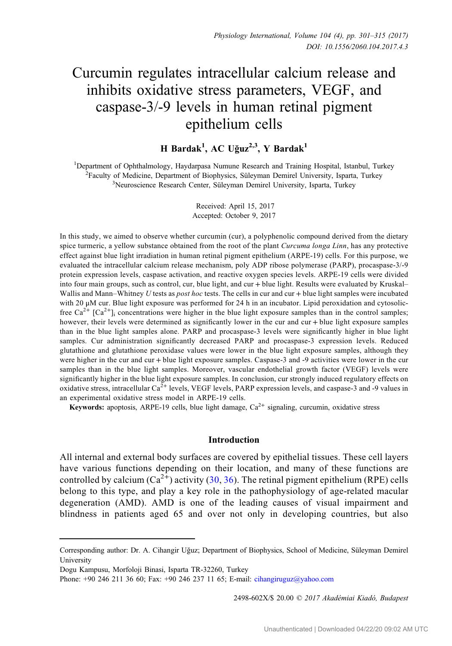# Curcumin regulates intracellular calcium release and inhibits oxidative stress parameters, VEGF, and caspase-3/-9 levels in human retinal pigment epithelium cells

# H Bardak<sup>1</sup>, AC Uğuz<sup>2,3</sup>, Y Bardak<sup>1</sup>

<sup>1</sup>Department of Ophthalmology, Haydarpasa Numune Research and Training Hospital, Istanbul, Turkey  ${}^{2}$ Faculty of Medicine, Department of Biophysics, Süleyman Demirel University, Isparta, Turkey <sup>3</sup>Neuroscience Research Center, Süleyman Demirel University, Isparta, Turkey

> Received: April 15, 2017 Accepted: October 9, 2017

In this study, we aimed to observe whether curcumin (cur), a polyphenolic compound derived from the dietary spice turmeric, a yellow substance obtained from the root of the plant Curcuma longa Linn, has any protective effect against blue light irradiation in human retinal pigment epithelium (ARPE-19) cells. For this purpose, we evaluated the intracellular calcium release mechanism, poly ADP ribose polymerase (PARP), procaspase-3/-9 protein expression levels, caspase activation, and reactive oxygen species levels. ARPE-19 cells were divided into four main groups, such as control, cur, blue light, and cur + blue light. Results were evaluated by Kruskal– Wallis and Mann–Whitney U tests as post hoc tests. The cells in cur and cur + blue light samples were incubated with 20 μM cur. Blue light exposure was performed for 24 h in an incubator. Lipid peroxidation and cytosolicfree  $Ca^{2+}$  [Ca<sup>2+</sup>]; concentrations were higher in the blue light exposure samples than in the control samples; however, their levels were determined as significantly lower in the cur and cur + blue light exposure samples than in the blue light samples alone. PARP and procaspase-3 levels were significantly higher in blue light samples. Cur administration significantly decreased PARP and procaspase-3 expression levels. Reduced glutathione and glutathione peroxidase values were lower in the blue light exposure samples, although they were higher in the cur and cur + blue light exposure samples. Caspase-3 and -9 activities were lower in the cur samples than in the blue light samples. Moreover, vascular endothelial growth factor (VEGF) levels were significantly higher in the blue light exposure samples. In conclusion, cur strongly induced regulatory effects on oxidative stress, intracellular  $Ca^{2+}$  levels, VEGF levels, PARP expression levels, and caspase-3 and -9 values in an experimental oxidative stress model in ARPE-19 cells.

Keywords: apoptosis, ARPE-19 cells, blue light damage,  $Ca^{2+}$  signaling, curcumin, oxidative stress

#### Introduction

All internal and external body surfaces are covered by epithelial tissues. These cell layers have various functions depending on their location, and many of these functions are controlled by calcium  $(Ca^{2+})$  activity ([30,](#page-13-0) [36](#page-14-0)). The retinal pigment epithelium (RPE) cells belong to this type, and play a key role in the pathophysiology of age-related macular degeneration (AMD). AMD is one of the leading causes of visual impairment and blindness in patients aged 65 and over not only in developing countries, but also

2498-602X/\$ 20.00 C 2017 Akadémiai Kiadó, Budapest

Corresponding author: Dr. A. Cihangir Uguz; Department of Biophysics, School of Medicine, Süleyman Demirel ˘ University

Dogu Kampusu, Morfoloji Binasi, Isparta TR-32260, Turkey

Phone: +90 246 211 36 60; Fax: +90 246 237 11 65; E-mail: [cihangiruguz@yahoo.com](mailto:cihangiruguz@yahoo.com)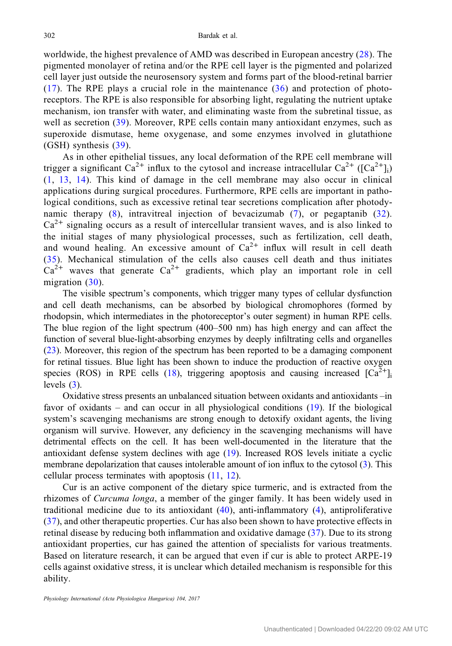worldwide, the highest prevalence of AMD was described in European ancestry [\(28\)](#page-13-0). The pigmented monolayer of retina and/or the RPE cell layer is the pigmented and polarized cell layer just outside the neurosensory system and forms part of the blood-retinal barrier  $(17)$ . The RPE plays a crucial role in the maintenance  $(36)$  $(36)$  $(36)$  and protection of photoreceptors. The RPE is also responsible for absorbing light, regulating the nutrient uptake mechanism, ion transfer with water, and eliminating waste from the subretinal tissue, as well as secretion ([39\)](#page-14-0). Moreover, RPE cells contain many antioxidant enzymes, such as superoxide dismutase, heme oxygenase, and some enzymes involved in glutathione (GSH) synthesis ([39](#page-14-0)).

As in other epithelial tissues, any local deformation of the RPE cell membrane will trigger a significant  $Ca^{2+}$  influx to the cytosol and increase intracellular  $Ca^{2+}$  ([Ca<sup>2+</sup>]<sub>i</sub>) [\(1,](#page-12-0) [13,](#page-13-0) [14\)](#page-13-0). This kind of damage in the cell membrane may also occur in clinical applications during surgical procedures. Furthermore, RPE cells are important in pathological conditions, such as excessive retinal tear secretions complication after photodynamic therapy ([8](#page-12-0)), intravitreal injection of bevacizumab ([7](#page-12-0)), or pegaptanib ([32](#page-13-0)).  $Ca<sup>2+</sup>$  signaling occurs as a result of intercellular transient waves, and is also linked to the initial stages of many physiological processes, such as fertilization, cell death, and wound healing. An excessive amount of  $Ca^{2+}$  influx will result in cell death [\(35\)](#page-14-0). Mechanical stimulation of the cells also causes cell death and thus initiates  $Ca^{2+}$  waves that generate  $Ca^{2+}$  gradients, which play an important role in cell migration ([30\)](#page-13-0).

The visible spectrum's components, which trigger many types of cellular dysfunction and cell death mechanisms, can be absorbed by biological chromophores (formed by rhodopsin, which intermediates in the photoreceptor's outer segment) in human RPE cells. The blue region of the light spectrum (400–500 nm) has high energy and can affect the function of several blue-light-absorbing enzymes by deeply infiltrating cells and organelles [\(23](#page-13-0)). Moreover, this region of the spectrum has been reported to be a damaging component for retinal tissues. Blue light has been shown to induce the production of reactive oxygen species (ROS) in RPE cells [\(18](#page-13-0)), triggering apoptosis and causing increased  $\lceil Ca^{2+} \rceil$ levels ([3\)](#page-12-0).

Oxidative stress presents an unbalanced situation between oxidants and antioxidants –in favor of oxidants – and can occur in all physiological conditions [\(19](#page-13-0)). If the biological system's scavenging mechanisms are strong enough to detoxify oxidant agents, the living organism will survive. However, any deficiency in the scavenging mechanisms will have detrimental effects on the cell. It has been well-documented in the literature that the antioxidant defense system declines with age ([19\)](#page-13-0). Increased ROS levels initiate a cyclic membrane depolarization that causes intolerable amount of ion influx to the cytosol [\(3](#page-12-0)). This cellular process terminates with apoptosis [\(11](#page-13-0), [12](#page-13-0)).

Cur is an active component of the dietary spice turmeric, and is extracted from the rhizomes of Curcuma longa, a member of the ginger family. It has been widely used in traditional medicine due to its antioxidant  $(40)$  $(40)$ , anti-inflammatory  $(4)$  $(4)$ , antiproliferative [\(37\)](#page-14-0), and other therapeutic properties. Cur has also been shown to have protective effects in retinal disease by reducing both inflammation and oxidative damage ([37\)](#page-14-0). Due to its strong antioxidant properties, cur has gained the attention of specialists for various treatments. Based on literature research, it can be argued that even if cur is able to protect ARPE-19 cells against oxidative stress, it is unclear which detailed mechanism is responsible for this ability.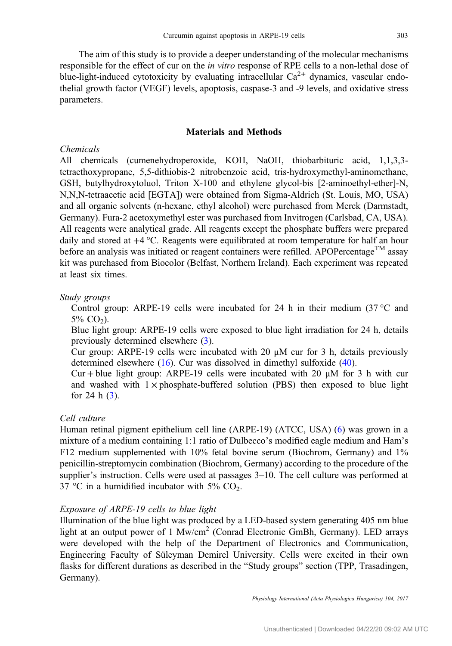The aim of this study is to provide a deeper understanding of the molecular mechanisms responsible for the effect of cur on the in vitro response of RPE cells to a non-lethal dose of blue-light-induced cytotoxicity by evaluating intracellular  $Ca^{2+}$  dynamics, vascular endothelial growth factor (VEGF) levels, apoptosis, caspase-3 and -9 levels, and oxidative stress parameters.

#### Materials and Methods

#### Chemicals

All chemicals (cumenehydroperoxide, KOH, NaOH, thiobarbituric acid, 1,1,3,3 tetraethoxypropane, 5,5-dithiobis-2 nitrobenzoic acid, tris-hydroxymethyl-aminomethane, GSH, butylhydroxytoluol, Triton X-100 and ethylene glycol-bis [2-aminoethyl-ether]-N, N,N,N-tetraacetic acid [EGTA]) were obtained from Sigma-Aldrich (St. Louis, MO, USA) and all organic solvents (n-hexane, ethyl alcohol) were purchased from Merck (Darmstadt, Germany). Fura-2 acetoxymethyl ester was purchased from Invitrogen (Carlsbad, CA, USA). All reagents were analytical grade. All reagents except the phosphate buffers were prepared daily and stored at  $+4 \degree C$ . Reagents were equilibrated at room temperature for half an hour before an analysis was initiated or reagent containers were refilled. APOPercentage<sup>TM</sup> assay kit was purchased from Biocolor (Belfast, Northern Ireland). Each experiment was repeated at least six times.

#### Study groups

Control group: ARPE-19 cells were incubated for 24 h in their medium  $(37^{\circ}$ C and  $5\%$  CO<sub>2</sub>).

Blue light group: ARPE-19 cells were exposed to blue light irradiation for 24 h, details previously determined elsewhere ([3\)](#page-12-0).

Cur group: ARPE-19 cells were incubated with 20  $\mu$ M cur for 3 h, details previously determined elsewhere [\(16](#page-13-0)). Cur was dissolved in dimethyl sulfoxide ([40](#page-14-0)).

Cur + blue light group: ARPE-19 cells were incubated with 20  $\mu$ M for 3 h with cur and washed with  $1 \times$  phosphate-buffered solution (PBS) then exposed to blue light for 24 h  $(3)$  $(3)$ .

## Cell culture

Human retinal pigment epithelium cell line (ARPE-19) (ATCC, USA) [\(6](#page-12-0)) was grown in a mixture of a medium containing 1:1 ratio of Dulbecco's modified eagle medium and Ham's F12 medium supplemented with 10% fetal bovine serum (Biochrom, Germany) and 1% penicillin-streptomycin combination (Biochrom, Germany) according to the procedure of the supplier's instruction. Cells were used at passages 3–10. The cell culture was performed at 37 °C in a humidified incubator with 5%  $CO<sub>2</sub>$ .

#### Exposure of ARPE-19 cells to blue light

Illumination of the blue light was produced by a LED-based system generating 405 nm blue light at an output power of 1 Mw/cm<sup>2</sup> (Conrad Electronic GmBh, Germany). LED arrays were developed with the help of the Department of Electronics and Communication, Engineering Faculty of Süleyman Demirel University. Cells were excited in their own flasks for different durations as described in the "Study groups" section (TPP, Trasadingen, Germany).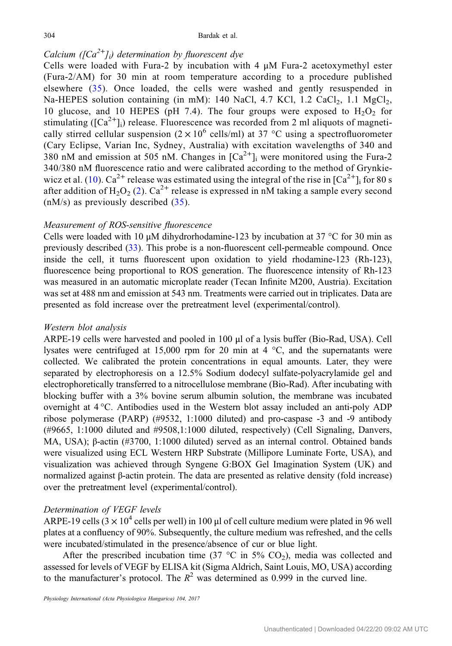# Calcium ( $[Ca^{2+}]\rightarrow$ ) determination by fluorescent dye

Cells were loaded with Fura-2 by incubation with  $4 \mu M$  Fura-2 acetoxymethyl ester (Fura-2/AM) for 30 min at room temperature according to a procedure published elsewhere ([35\)](#page-14-0). Once loaded, the cells were washed and gently resuspended in Na-HEPES solution containing (in mM): 140 NaCl, 4.7 KCl, 1.2 CaCl<sub>2</sub>, 1.1 MgCl<sub>2</sub>, 10 glucose, and 10 HEPES (pH 7.4). The four groups were exposed to  $H_2O_2$  for stimulating ( $\left[Ca^{2+}l_i\right]$ ) release. Fluorescence was recorded from 2 ml aliquots of magnetically stirred cellular suspension  $(2 \times 10^6 \text{ cells/ml})$  at 37 °C using a spectrofluorometer (Cary Eclipse, Varian Inc, Sydney, Australia) with excitation wavelengths of 340 and 380 nM and emission at 505 nM. Changes in  $[Ca^{2+}]$ <sub>i</sub> were monitored using the Fura-2 340/380 nM fluorescence ratio and were calibrated according to the method of Grynkie-wicz et al. ([10](#page-13-0)).  $Ca^{2+}$  release was estimated using the integral of the rise in  $[Ca^{2+}]_i$  for 80 s after addition of H<sub>2</sub>O<sub>2</sub> ([2\)](#page-12-0). Ca<sup>2+</sup> release is expressed in nM taking a sample every second  $(nM/s)$  as previously described  $(35)$  $(35)$  $(35)$ .

#### Measurement of ROS-sensitive fluorescence

Cells were loaded with 10 μM dihydrorhodamine-123 by incubation at 37 °C for 30 min as previously described [\(33](#page-13-0)). This probe is a non-fluorescent cell-permeable compound. Once inside the cell, it turns fluorescent upon oxidation to yield rhodamine-123 (Rh-123), fluorescence being proportional to ROS generation. The fluorescence intensity of Rh-123 was measured in an automatic microplate reader (Tecan Infinite M200, Austria). Excitation was set at 488 nm and emission at 543 nm. Treatments were carried out in triplicates. Data are presented as fold increase over the pretreatment level (experimental/control).

#### Western blot analysis

ARPE-19 cells were harvested and pooled in 100 μl of a lysis buffer (Bio-Rad, USA). Cell lysates were centrifuged at 15,000 rpm for 20 min at 4  $\degree$ C, and the supernatants were collected. We calibrated the protein concentrations in equal amounts. Later, they were separated by electrophoresis on a 12.5% Sodium dodecyl sulfate-polyacrylamide gel and electrophoretically transferred to a nitrocellulose membrane (Bio-Rad). After incubating with blocking buffer with a 3% bovine serum albumin solution, the membrane was incubated overnight at 4 °C. Antibodies used in the Western blot assay included an anti-poly ADP ribose polymerase (PARP) (#9532, 1:1000 diluted) and pro-caspase -3 and -9 antibody (#9665, 1:1000 diluted and #9508,1:1000 diluted, respectively) (Cell Signaling, Danvers, MA, USA); β-actin (#3700, 1:1000 diluted) served as an internal control. Obtained bands were visualized using ECL Western HRP Substrate (Millipore Luminate Forte, USA), and visualization was achieved through Syngene G:BOX Gel Imagination System (UK) and normalized against β-actin protein. The data are presented as relative density (fold increase) over the pretreatment level (experimental/control).

#### Determination of VEGF levels

ARPE-19 cells  $(3 \times 10^4$  cells per well) in 100 µl of cell culture medium were plated in 96 well plates at a confluency of 90%. Subsequently, the culture medium was refreshed, and the cells were incubated/stimulated in the presence/absence of cur or blue light.

After the prescribed incubation time (37  $\degree$ C in 5% CO<sub>2</sub>), media was collected and assessed for levels of VEGF by ELISA kit (Sigma Aldrich, Saint Louis, MO, USA) according to the manufacturer's protocol. The  $R^2$  was determined as 0.999 in the curved line.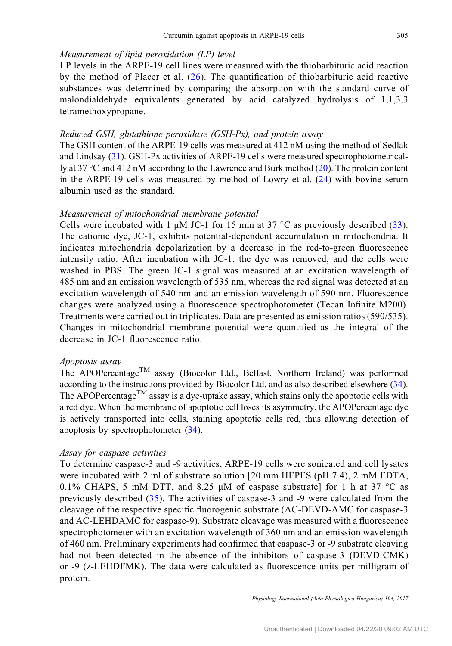## Measurement of lipid peroxidation (LP) level

LP levels in the ARPE-19 cell lines were measured with the thiobarbituric acid reaction by the method of Placer et al. ([26](#page-13-0)). The quantification of thiobarbituric acid reactive substances was determined by comparing the absorption with the standard curve of malondialdehyde equivalents generated by acid catalyzed hydrolysis of 1,1,3,3 tetramethoxypropane.

#### Reduced GSH, glutathione peroxidase (GSH-Px), and protein assay

The GSH content of the ARPE-19 cells was measured at 412 nM using the method of Sedlak and Lindsay [\(31](#page-13-0)). GSH-Px activities of ARPE-19 cells were measured spectrophotometrically at 37 °C and 412 nM according to the Lawrence and Burk method [\(20](#page-13-0)). The protein content in the ARPE-19 cells was measured by method of Lowry et al. ([24\)](#page-13-0) with bovine serum albumin used as the standard.

# Measurement of mitochondrial membrane potential

Cells were incubated with 1  $\mu$ M JC-1 for 15 min at 37 °C as previously described ([33](#page-13-0)). The cationic dye, JC-1, exhibits potential-dependent accumulation in mitochondria. It indicates mitochondria depolarization by a decrease in the red-to-green fluorescence intensity ratio. After incubation with JC-1, the dye was removed, and the cells were washed in PBS. The green JC-1 signal was measured at an excitation wavelength of 485 nm and an emission wavelength of 535 nm, whereas the red signal was detected at an excitation wavelength of 540 nm and an emission wavelength of 590 nm. Fluorescence changes were analyzed using a fluorescence spectrophotometer (Tecan Infinite M200). Treatments were carried out in triplicates. Data are presented as emission ratios (590/535). Changes in mitochondrial membrane potential were quantified as the integral of the decrease in JC-1 fluorescence ratio.

#### Apoptosis assay

The APOPercentage<sup>TM</sup> assay (Biocolor Ltd., Belfast, Northern Ireland) was performed according to the instructions provided by Biocolor Ltd. and as also described elsewhere [\(34](#page-13-0)). The APOPercentage<sup>TM</sup> assay is a dye-uptake assay, which stains only the apoptotic cells with a red dye. When the membrane of apoptotic cell loses its asymmetry, the APOPercentage dye is actively transported into cells, staining apoptotic cells red, thus allowing detection of apoptosis by spectrophotometer ([34](#page-13-0)).

#### Assay for caspase activities

To determine caspase-3 and -9 activities, ARPE-19 cells were sonicated and cell lysates were incubated with 2 ml of substrate solution [20 mm HEPES (pH 7.4), 2 mM EDTA, 0.1% CHAPS, 5 mM DTT, and 8.25  $\mu$ M of caspase substrate] for 1 h at 37 °C as previously described [\(35\)](#page-14-0). The activities of caspase-3 and -9 were calculated from the cleavage of the respective specific fluorogenic substrate (AC-DEVD-AMC for caspase-3 and AC-LEHDAMC for caspase-9). Substrate cleavage was measured with a fluorescence spectrophotometer with an excitation wavelength of 360 nm and an emission wavelength of 460 nm. Preliminary experiments had confirmed that caspase-3 or -9 substrate cleaving had not been detected in the absence of the inhibitors of caspase-3 (DEVD-CMK) or -9 (z-LEHDFMK). The data were calculated as fluorescence units per milligram of protein.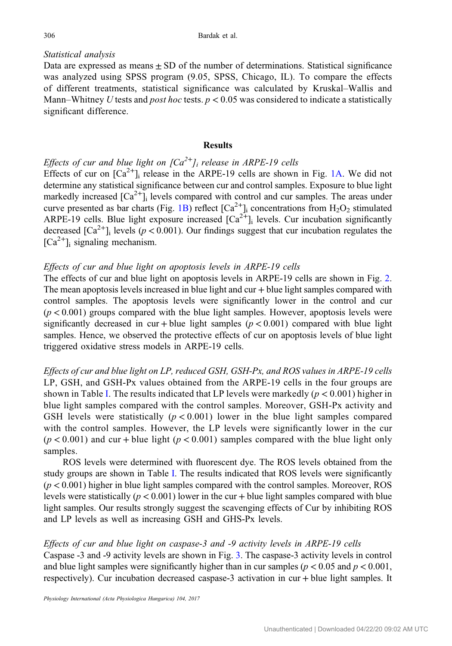# Statistical analysis

Data are expressed as means  $\pm$  SD of the number of determinations. Statistical significance was analyzed using SPSS program (9.05, SPSS, Chicago, IL). To compare the effects of different treatments, statistical significance was calculated by Kruskal–Wallis and Mann–Whitney U tests and *post hoc* tests.  $p < 0.05$  was considered to indicate a statistically significant difference.

#### **Results**

# Effects of cur and blue light on  $[Ca^{2+}]_i$  release in ARPE-19 cells

Effects of cur on  $[Ca^{2+}]_i$  release in the ARPE-19 cells are shown in Fig. [1A.](#page-6-0) We did not determine any statistical significance between cur and control samples. Exposure to blue light markedly increased  $\lceil Ca^{2+} \rceil$  levels compared with control and cur samples. The areas under curve presented as bar charts (Fig. [1B\)](#page-6-0) reflect  $[Ca^{2+}]$  concentrations from H<sub>2</sub>O<sub>2</sub> stimulated ARPE-19 cells. Blue light exposure increased  $\lceil Ca^{2+} \rceil$  levels. Cur incubation significantly decreased  $\lceil Ca^{2+} \rceil$  levels ( $p < 0.001$ ). Our findings suggest that cur incubation regulates the  $[Ca^{2+}]$ <sub>i</sub> signaling mechanism.

# Effects of cur and blue light on apoptosis levels in ARPE-19 cells

The effects of cur and blue light on apoptosis levels in ARPE-19 cells are shown in Fig. [2.](#page-7-0) The mean apoptosis levels increased in blue light and cur + blue light samples compared with control samples. The apoptosis levels were significantly lower in the control and cur  $(p < 0.001)$  groups compared with the blue light samples. However, apoptosis levels were significantly decreased in cur + blue light samples ( $p < 0.001$ ) compared with blue light samples. Hence, we observed the protective effects of cur on apoptosis levels of blue light triggered oxidative stress models in ARPE-19 cells.

Effects of cur and blue light on LP, reduced GSH, GSH-Px, and ROS values in ARPE-19 cells LP, GSH, and GSH-Px values obtained from the ARPE-19 cells in the four groups are shown in Table [I](#page-7-0). The results indicated that LP levels were markedly ( $p < 0.001$ ) higher in blue light samples compared with the control samples. Moreover, GSH-Px activity and GSH levels were statistically  $(p < 0.001)$  lower in the blue light samples compared with the control samples. However, the LP levels were significantly lower in the cur  $(p < 0.001)$  and cur + blue light  $(p < 0.001)$  samples compared with the blue light only samples.

ROS levels were determined with fluorescent dye. The ROS levels obtained from the study groups are shown in Table [I.](#page-7-0) The results indicated that ROS levels were significantly  $(p < 0.001)$  higher in blue light samples compared with the control samples. Moreover, ROS levels were statistically ( $p < 0.001$ ) lower in the cur + blue light samples compared with blue light samples. Our results strongly suggest the scavenging effects of Cur by inhibiting ROS and LP levels as well as increasing GSH and GHS-Px levels.

## Effects of cur and blue light on caspase-3 and -9 activity levels in ARPE-19 cells

Caspase -3 and -9 activity levels are shown in Fig. [3](#page-7-0). The caspase-3 activity levels in control and blue light samples were significantly higher than in cur samples ( $p < 0.05$  and  $p < 0.001$ , respectively). Cur incubation decreased caspase-3 activation in cur + blue light samples. It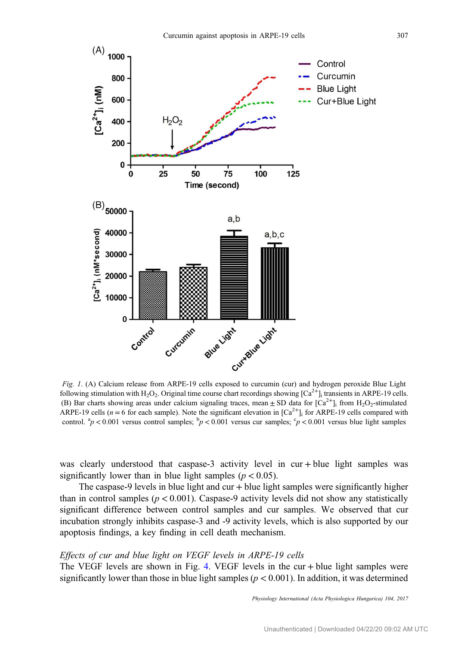<span id="page-6-0"></span>

Fig. 1. (A) Calcium release from ARPE-19 cells exposed to curcumin (cur) and hydrogen peroxide Blue Light following stimulation with H<sub>2</sub>O<sub>2</sub>. Original time course chart recordings showing  $[Ca^{2+}]$ <sub>i</sub> transients in ARPE-19 cells. (B) Bar charts showing areas under calcium signaling traces, mean  $\pm$  SD data for [Ca<sup>2+</sup>]<sub>i</sub> from H<sub>2</sub>O<sub>2</sub>-stimulated ARPE-19 cells ( $n = 6$  for each sample). Note the significant elevation in  $[Ca<sup>2+</sup>]$  for ARPE-19 cells compared with control.  ${}^{a}p$  < 0.001 versus control samples;  ${}^{b}p$  < 0.001 versus cur samples;  ${}^{c}p$  < 0.001 versus blue light samples

was clearly understood that caspase-3 activity level in cur + blue light samples was significantly lower than in blue light samples ( $p < 0.05$ ).

The caspase-9 levels in blue light and cur  $+$  blue light samples were significantly higher than in control samples ( $p < 0.001$ ). Caspase-9 activity levels did not show any statistically significant difference between control samples and cur samples. We observed that cur incubation strongly inhibits caspase-3 and -9 activity levels, which is also supported by our apoptosis findings, a key finding in cell death mechanism.

#### Effects of cur and blue light on VEGF levels in ARPE-19 cells

The VEGF levels are shown in Fig. [4.](#page-8-0) VEGF levels in the cur + blue light samples were significantly lower than those in blue light samples ( $p < 0.001$ ). In addition, it was determined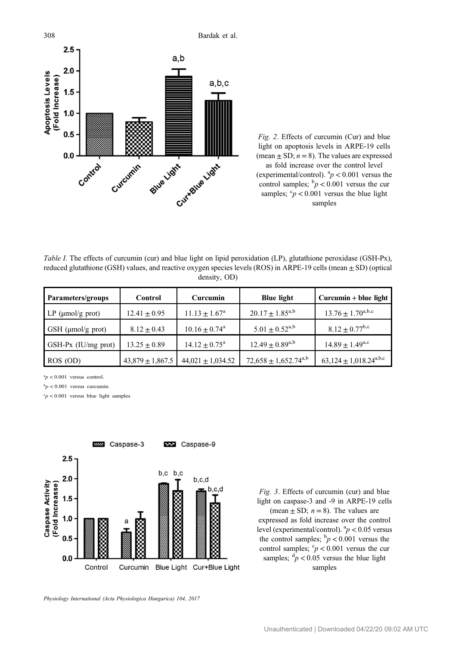<span id="page-7-0"></span>308 Bardak et al.



Fig. 2. Effects of curcumin (Cur) and blue light on apoptosis levels in ARPE-19 cells (mean  $\pm$  SD;  $n = 8$ ). The values are expressed as fold increase over the control level (experimental/control).  ${}^{a}p$  < 0.001 versus the control samples;  $\frac{b}{p}$  < 0.001 versus the cur samples;  $\degree p < 0.001$  versus the blue light samples

Table I. The effects of curcumin (cur) and blue light on lipid peroxidation (LP), glutathione peroxidase (GSH-Px), reduced glutathione (GSH) values, and reactive oxygen species levels (ROS) in ARPE-19 cells (mean  $\pm$  SD) (optical density, OD)

| Parameters/groups       | Control              | Curcumin                      | <b>Blue light</b>                    | $Curcumin + blue$ light                            |
|-------------------------|----------------------|-------------------------------|--------------------------------------|----------------------------------------------------|
| LP ( $\mu$ mol/g prot)  | $12.41 \pm 0.95$     | $11.13 \pm 1.67^{\rm a}$      | $20.17 \pm 1.85^{a,b}$               | $13.76 \pm 1.70^{a,b,c}$                           |
| GSH ( $\mu$ mol/g prot) | $8.12 \pm 0.43$      | $10.16 \pm 0.74$ <sup>a</sup> | $5.01 \pm 0.52^{\text{a},\text{b}}$  | $8.12 \pm 0.77^{\rm b,c}$                          |
| GSH-Px (IU/mg prot)     | $13.25 + 0.89$       | $14.12 \pm 0.75^{\text{a}}$   | $12.49 + 0.89^{a,b}$                 | $14.89 \pm 1.49^{\text{a,c}}$                      |
| ROS (OD)                | $43,879 \pm 1,867.5$ | $44,021 \pm 1,034.52$         | $72,658 \pm 1,652.74^{\mathrm{a,b}}$ | $63,124 \pm 1,018.24^{\text{a},\text{b},\text{c}}$ |

 $a_p < 0.001$  versus control.

 $b_p < 0.001$  versus curcumin.

 $c_p$  < 0.001 versus blue light samples



Fig. 3. Effects of curcumin (cur) and blue light on caspase-3 and -9 in ARPE-19 cells (mean  $\pm$  SD;  $n = 8$ ). The values are expressed as fold increase over the control level (experimental/control).  ${}^{a}p$  < 0.05 versus the control samples;  $\frac{b}{p}$  < 0.001 versus the control samples;  $\degree p < 0.001$  versus the cur samples;  $\frac{d}{p}$  < 0.05 versus the blue light samples

Physiology International (Acta Physiologica Hungarica) 104, 2017

Unauthenticated | Downloaded 04/22/20 09:02 AM UTC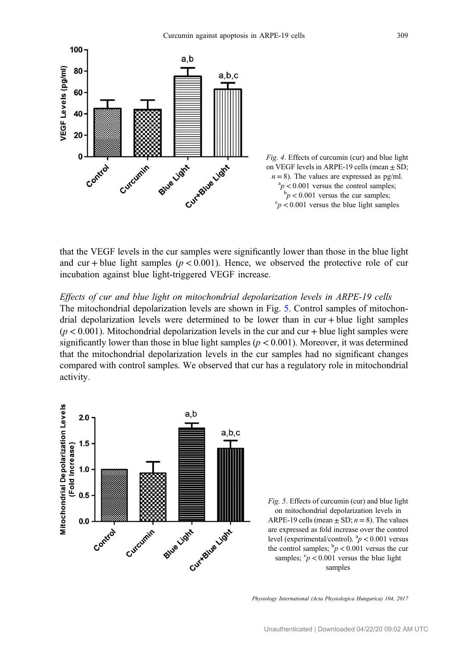<span id="page-8-0"></span>



that the VEGF levels in the cur samples were significantly lower than those in the blue light and cur + blue light samples ( $p < 0.001$ ). Hence, we observed the protective role of cur incubation against blue light-triggered VEGF increase.

#### Effects of cur and blue light on mitochondrial depolarization levels in ARPE-19 cells

The mitochondrial depolarization levels are shown in Fig. 5. Control samples of mitochondrial depolarization levels were determined to be lower than in cur + blue light samples  $(p < 0.001)$ . Mitochondrial depolarization levels in the cur and cur + blue light samples were significantly lower than those in blue light samples ( $p < 0.001$ ). Moreover, it was determined that the mitochondrial depolarization levels in the cur samples had no significant changes compared with control samples. We observed that cur has a regulatory role in mitochondrial activity.



Fig. 5. Effects of curcumin (cur) and blue light on mitochondrial depolarization levels in ARPE-19 cells (mean  $\pm$  SD;  $n = 8$ ). The values are expressed as fold increase over the control level (experimental/control).  ${}^{a}p$  < 0.001 versus the control samples;  $\frac{b}{p}$  < 0.001 versus the cur samples;  $\epsilon_p < 0.001$  versus the blue light samples

Physiology International (Acta Physiologica Hungarica) 104, 2017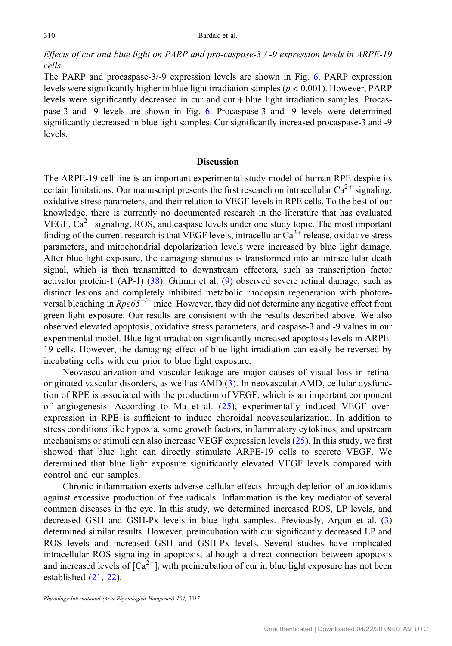# Effects of cur and blue light on PARP and pro-caspase-3 / -9 expression levels in ARPE-19 cells

The PARP and procaspase-3/-9 expression levels are shown in Fig. [6](#page-10-0). PARP expression levels were significantly higher in blue light irradiation samples ( $p < 0.001$ ). However, PARP levels were significantly decreased in cur and cur + blue light irradiation samples. Procaspase-3 and -9 levels are shown in Fig. [6](#page-10-0). Procaspase-3 and -9 levels were determined significantly decreased in blue light samples. Cur significantly increased procaspase-3 and -9 levels.

#### **Discussion**

The ARPE-19 cell line is an important experimental study model of human RPE despite its certain limitations. Our manuscript presents the first research on intracellular  $Ca^{2+}$  signaling, oxidative stress parameters, and their relation to VEGF levels in RPE cells. To the best of our knowledge, there is currently no documented research in the literature that has evaluated VEGF,  $Ca<sup>2+</sup>$  signaling, ROS, and caspase levels under one study topic. The most important finding of the current research is that VEGF levels, intracellular  $Ca^{2+}$  release, oxidative stress parameters, and mitochondrial depolarization levels were increased by blue light damage. After blue light exposure, the damaging stimulus is transformed into an intracellular death signal, which is then transmitted to downstream effectors, such as transcription factor activator protein-1 (AP-1)  $(38)$  $(38)$ . Grimm et al.  $(9)$  $(9)$  $(9)$  observed severe retinal damage, such as distinct lesions and completely inhibited metabolic rhodopsin regeneration with photoreversal bleaching in  $Rpe65^{-/-}$  mice. However, they did not determine any negative effect from green light exposure. Our results are consistent with the results described above. We also observed elevated apoptosis, oxidative stress parameters, and caspase-3 and -9 values in our experimental model. Blue light irradiation significantly increased apoptosis levels in ARPE-19 cells. However, the damaging effect of blue light irradiation can easily be reversed by incubating cells with cur prior to blue light exposure.

Neovascularization and vascular leakage are major causes of visual loss in retinaoriginated vascular disorders, as well as AMD [\(3](#page-12-0)). In neovascular AMD, cellular dysfunction of RPE is associated with the production of VEGF, which is an important component of angiogenesis. According to Ma et al. ([25\)](#page-13-0), experimentally induced VEGF overexpression in RPE is sufficient to induce choroidal neovascularization. In addition to stress conditions like hypoxia, some growth factors, inflammatory cytokines, and upstream mechanisms or stimuli can also increase VEGF expression levels [\(25\)](#page-13-0). In this study, we first showed that blue light can directly stimulate ARPE-19 cells to secrete VEGF. We determined that blue light exposure significantly elevated VEGF levels compared with control and cur samples.

Chronic inflammation exerts adverse cellular effects through depletion of antioxidants against excessive production of free radicals. Inflammation is the key mediator of several common diseases in the eye. In this study, we determined increased ROS, LP levels, and decreased GSH and GSH-Px levels in blue light samples. Previously, Argun et al. ([3\)](#page-12-0) determined similar results. However, preincubation with cur significantly decreased LP and ROS levels and increased GSH and GSH-Px levels. Several studies have implicated intracellular ROS signaling in apoptosis, although a direct connection between apoptosis and increased levels of  $\lceil Ca^{2+} \rceil$  with preincubation of cur in blue light exposure has not been established ([21,](#page-13-0) [22\)](#page-13-0).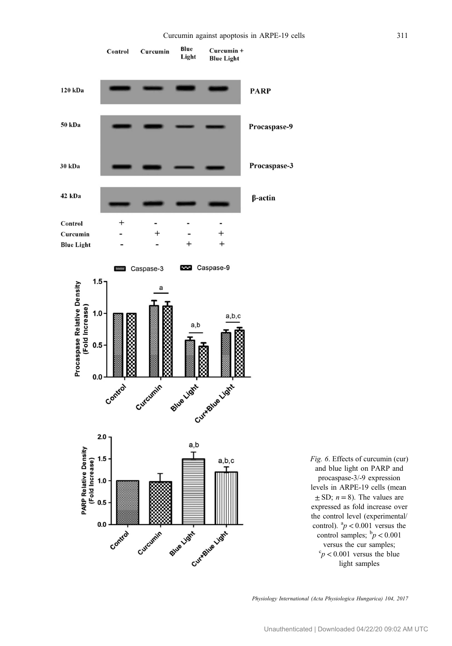<span id="page-10-0"></span>

Fig. 6. Effects of curcumin (cur) and blue light on PARP and procaspase-3/-9 expression levels in ARPE-19 cells (mean  $\pm$  SD;  $n = 8$ ). The values are expressed as fold increase over the control level (experimental/ control).  ${}^{a}p$  < 0.001 versus the control samples;  $\frac{b}{p}$  < 0.001 versus the cur samples;  $\degree p$  < 0.001 versus the blue light samples

Physiology International (Acta Physiologica Hungarica) 104, 2017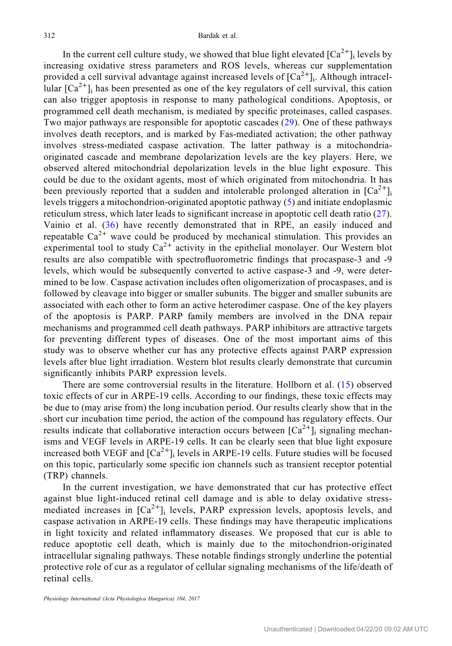In the current cell culture study, we showed that blue light elevated  $\lceil Ca^{2+} \rceil$  levels by increasing oxidative stress parameters and ROS levels, whereas cur supplementation provided a cell survival advantage against increased levels of  $[Ca^{2+}]$ <sub>i</sub>. Although intracellular  $\lceil Ca^{2+} \rceil$  has been presented as one of the key regulators of cell survival, this cation can also trigger apoptosis in response to many pathological conditions. Apoptosis, or programmed cell death mechanism, is mediated by specific proteinases, called caspases. Two major pathways are responsible for apoptotic cascades ([29\)](#page-13-0). One of these pathways involves death receptors, and is marked by Fas-mediated activation; the other pathway involves stress-mediated caspase activation. The latter pathway is a mitochondriaoriginated cascade and membrane depolarization levels are the key players. Here, we observed altered mitochondrial depolarization levels in the blue light exposure. This could be due to the oxidant agents, most of which originated from mitochondria. It has been previously reported that a sudden and intolerable prolonged alteration in  $[Ca^{2+}]$ levels triggers a mitochondrion-originated apoptotic pathway [\(5](#page-12-0)) and initiate endoplasmic reticulum stress, which later leads to significant increase in apoptotic cell death ratio ([27](#page-13-0)). Vainio et al. ([36](#page-14-0)) have recently demonstrated that in RPE, an easily induced and repeatable  $Ca^{2+}$  wave could be produced by mechanical stimulation. This provides an experimental tool to study  $Ca^{2+}$  activity in the epithelial monolayer. Our Western blot results are also compatible with spectrofluorometric findings that procaspase-3 and -9 levels, which would be subsequently converted to active caspase-3 and -9, were determined to be low. Caspase activation includes often oligomerization of procaspases, and is followed by cleavage into bigger or smaller subunits. The bigger and smaller subunits are associated with each other to form an active heterodimer caspase. One of the key players of the apoptosis is PARP. PARP family members are involved in the DNA repair mechanisms and programmed cell death pathways. PARP inhibitors are attractive targets for preventing different types of diseases. One of the most important aims of this study was to observe whether cur has any protective effects against PARP expression levels after blue light irradiation. Western blot results clearly demonstrate that curcumin significantly inhibits PARP expression levels.

There are some controversial results in the literature. Hollborn et al. ([15](#page-13-0)) observed toxic effects of cur in ARPE-19 cells. According to our findings, these toxic effects may be due to (may arise from) the long incubation period. Our results clearly show that in the short cur incubation time period, the action of the compound has regulatory effects. Our results indicate that collaborative interaction occurs between  $[Ca^{2+}]$  signaling mechanisms and VEGF levels in ARPE-19 cells. It can be clearly seen that blue light exposure increased both VEGF and  $\lceil Ca^{2+} \rceil$ ; levels in ARPE-19 cells. Future studies will be focused on this topic, particularly some specific ion channels such as transient receptor potential (TRP) channels.

In the current investigation, we have demonstrated that cur has protective effect against blue light-induced retinal cell damage and is able to delay oxidative stressmediated increases in  $[Ca^{2+}]$ ; levels, PARP expression levels, apoptosis levels, and caspase activation in ARPE-19 cells. These findings may have therapeutic implications in light toxicity and related inflammatory diseases. We proposed that cur is able to reduce apoptotic cell death, which is mainly due to the mitochondrion-originated intracellular signaling pathways. These notable findings strongly underline the potential protective role of cur as a regulator of cellular signaling mechanisms of the life/death of retinal cells.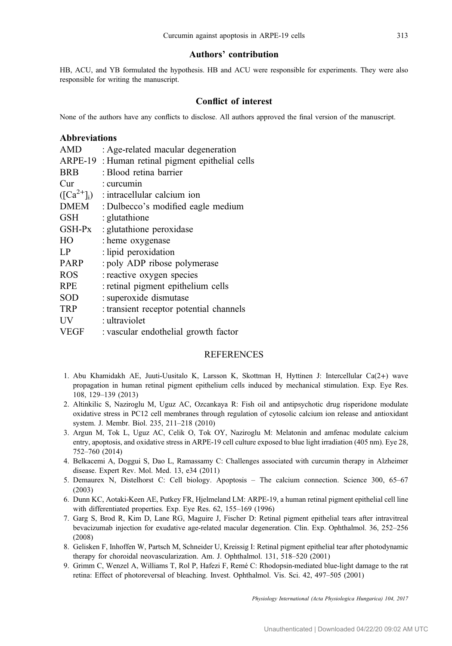#### Authors' contribution

<span id="page-12-0"></span>HB, ACU, and YB formulated the hypothesis. HB and ACU were responsible for experiments. They were also responsible for writing the manuscript.

#### Conflict of interest

None of the authors have any conflicts to disclose. All authors approved the final version of the manuscript.

#### Abbreviations

| <b>AMD</b>      | : Age-related macular degeneration       |
|-----------------|------------------------------------------|
| ARPE-19         | : Human retinal pigment epithelial cells |
| <b>BRB</b>      | : Blood retina barrier                   |
| Cur             | : curcumin                               |
| $([Ca^{2+}]_i)$ | : intracellular calcium ion              |
| <b>DMEM</b>     | : Dulbecco's modified eagle medium       |
| <b>GSH</b>      | : glutathione                            |
| GSH-Px          | : glutathione peroxidase                 |
| HO              | : heme oxygenase                         |
| LP              | : lipid peroxidation                     |
| <b>PARP</b>     | : poly ADP ribose polymerase             |
| <b>ROS</b>      | : reactive oxygen species                |
| <b>RPE</b>      | : retinal pigment epithelium cells       |
| <b>SOD</b>      | : superoxide dismutase                   |
| <b>TRP</b>      | : transient receptor potential channels  |
| UV              | : ultraviolet                            |
| <b>VEGF</b>     | : vascular endothelial growth factor     |

#### REFERENCES

- 1. Abu Khamidakh AE, Juuti-Uusitalo K, Larsson K, Skottman H, Hyttinen J: Intercellular Ca(2+) wave propagation in human retinal pigment epithelium cells induced by mechanical stimulation. Exp. Eye Res. 108, 129–139 (2013)
- 2. Altinkilic S, Naziroglu M, Uguz AC, Ozcankaya R: Fish oil and antipsychotic drug risperidone modulate oxidative stress in PC12 cell membranes through regulation of cytosolic calcium ion release and antioxidant system. J. Membr. Biol. 235, 211–218 (2010)
- 3. Argun M, Tok L, Uguz AC, Celik O, Tok OY, Naziroglu M: Melatonin and amfenac modulate calcium entry, apoptosis, and oxidative stress in ARPE-19 cell culture exposed to blue light irradiation (405 nm). Eye 28, 752–760 (2014)
- 4. Belkacemi A, Doggui S, Dao L, Ramassamy C: Challenges associated with curcumin therapy in Alzheimer disease. Expert Rev. Mol. Med. 13, e34 (2011)
- 5. Demaurex N, Distelhorst C: Cell biology. Apoptosis The calcium connection. Science 300, 65–67 (2003)
- 6. Dunn KC, Aotaki-Keen AE, Putkey FR, Hjelmeland LM: ARPE-19, a human retinal pigment epithelial cell line with differentiated properties. Exp. Eye Res. 62, 155–169 (1996)
- 7. Garg S, Brod R, Kim D, Lane RG, Maguire J, Fischer D: Retinal pigment epithelial tears after intravitreal bevacizumab injection for exudative age-related macular degeneration. Clin. Exp. Ophthalmol. 36, 252–256 (2008)
- 8. Gelisken F, Inhoffen W, Partsch M, Schneider U, Kreissig I: Retinal pigment epithelial tear after photodynamic therapy for choroidal neovascularization. Am. J. Ophthalmol. 131, 518–520 (2001)
- 9. Grimm C, Wenzel A, Williams T, Rol P, Hafezi F, Remé C: Rhodopsin-mediated blue-light damage to the rat retina: Effect of photoreversal of bleaching. Invest. Ophthalmol. Vis. Sci. 42, 497–505 (2001)

Physiology International (Acta Physiologica Hungarica) 104, 2017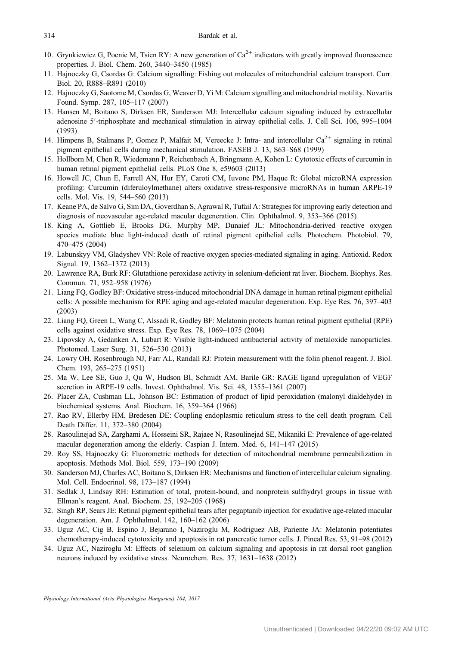- <span id="page-13-0"></span>10. Grynkiewicz G, Poenie M, Tsien RY: A new generation of  $Ca^{2+}$  indicators with greatly improved fluorescence properties. J. Biol. Chem. 260, 3440–3450 (1985)
- 11. Hajnoczky G, Csordas G: Calcium signalling: Fishing out molecules of mitochondrial calcium transport. Curr. Biol. 20, R888–R891 (2010)
- 12. Hajnoczky G, Saotome M, Csordas G, Weaver D, Yi M: Calcium signalling and mitochondrial motility. Novartis Found. Symp. 287, 105–117 (2007)
- 13. Hansen M, Boitano S, Dirksen ER, Sanderson MJ: Intercellular calcium signaling induced by extracellular adenosine 5′-triphosphate and mechanical stimulation in airway epithelial cells. J. Cell Sci. 106, 995–<sup>1004</sup> (1993)
- 14. Himpens B, Stalmans P, Gomez P, Malfait M, Vereecke J: Intra- and intercellular  $Ca^{2+}$  signaling in retinal pigment epithelial cells during mechanical stimulation. FASEB J. 13, S63–S68 (1999)
- 15. Hollborn M, Chen R, Wiedemann P, Reichenbach A, Bringmann A, Kohen L: Cytotoxic effects of curcumin in human retinal pigment epithelial cells. PLoS One 8, e59603 (2013)
- 16. Howell JC, Chun E, Farrell AN, Hur EY, Caroti CM, Iuvone PM, Haque R: Global microRNA expression profiling: Curcumin (diferuloylmethane) alters oxidative stress-responsive microRNAs in human ARPE-19 cells. Mol. Vis. 19, 544–560 (2013)
- 17. Keane PA, de Salvo G, Sim DA, Goverdhan S, Agrawal R, Tufail A: Strategies for improving early detection and diagnosis of neovascular age-related macular degeneration. Clin. Ophthalmol. 9, 353–366 (2015)
- 18. King A, Gottlieb E, Brooks DG, Murphy MP, Dunaief JL: Mitochondria-derived reactive oxygen species mediate blue light-induced death of retinal pigment epithelial cells. Photochem. Photobiol. 79, 470–475 (2004)
- 19. Labunskyy VM, Gladyshev VN: Role of reactive oxygen species-mediated signaling in aging. Antioxid. Redox Signal. 19, 1362–1372 (2013)
- 20. Lawrence RA, Burk RF: Glutathione peroxidase activity in selenium-deficient rat liver. Biochem. Biophys. Res. Commun. 71, 952–958 (1976)
- 21. Liang FQ, Godley BF: Oxidative stress-induced mitochondrial DNA damage in human retinal pigment epithelial cells: A possible mechanism for RPE aging and age-related macular degeneration. Exp. Eye Res. 76, 397–403 (2003)
- 22. Liang FQ, Green L, Wang C, Alssadi R, Godley BF: Melatonin protects human retinal pigment epithelial (RPE) cells against oxidative stress. Exp. Eye Res. 78, 1069–1075 (2004)
- 23. Lipovsky A, Gedanken A, Lubart R: Visible light-induced antibacterial activity of metaloxide nanoparticles. Photomed. Laser Surg. 31, 526–530 (2013)
- 24. Lowry OH, Rosenbrough NJ, Farr AL, Randall RJ: Protein measurement with the folin phenol reagent. J. Biol. Chem. 193, 265–275 (1951)
- 25. Ma W, Lee SE, Guo J, Qu W, Hudson BI, Schmidt AM, Barile GR: RAGE ligand upregulation of VEGF secretion in ARPE-19 cells. Invest. Ophthalmol. Vis. Sci. 48, 1355–1361 (2007)
- 26. Placer ZA, Cushman LL, Johnson BC: Estimation of product of lipid peroxidation (malonyl dialdehyde) in biochemical systems. Anal. Biochem. 16, 359–364 (1966)
- 27. Rao RV, Ellerby HM, Bredesen DE: Coupling endoplasmic reticulum stress to the cell death program. Cell Death Differ. 11, 372–380 (2004)
- 28. Rasoulinejad SA, Zarghami A, Hosseini SR, Rajaee N, Rasoulinejad SE, Mikaniki E: Prevalence of age-related macular degeneration among the elderly. Caspian J. Intern. Med. 6, 141–147 (2015)
- 29. Roy SS, Hajnoczky G: Fluorometric methods for detection of mitochondrial membrane permeabilization in apoptosis. Methods Mol. Biol. 559, 173–190 (2009)
- 30. Sanderson MJ, Charles AC, Boitano S, Dirksen ER: Mechanisms and function of intercellular calcium signaling. Mol. Cell. Endocrinol. 98, 173–187 (1994)
- 31. Sedlak J, Lindsay RH: Estimation of total, protein-bound, and nonprotein sulfhydryl groups in tissue with Ellman's reagent. Anal. Biochem. 25, 192–205 (1968)
- 32. Singh RP, Sears JE: Retinal pigment epithelial tears after pegaptanib injection for exudative age-related macular degeneration. Am. J. Ophthalmol. 142, 160–162 (2006)
- 33. Uguz AC, Cig B, Espino J, Bejarano I, Naziroglu M, Rodriguez AB, Pariente JA: Melatonin potentiates chemotherapy-induced cytotoxicity and apoptosis in rat pancreatic tumor cells. J. Pineal Res. 53, 91–98 (2012)
- 34. Uguz AC, Naziroglu M: Effects of selenium on calcium signaling and apoptosis in rat dorsal root ganglion neurons induced by oxidative stress. Neurochem. Res. 37, 1631–1638 (2012)